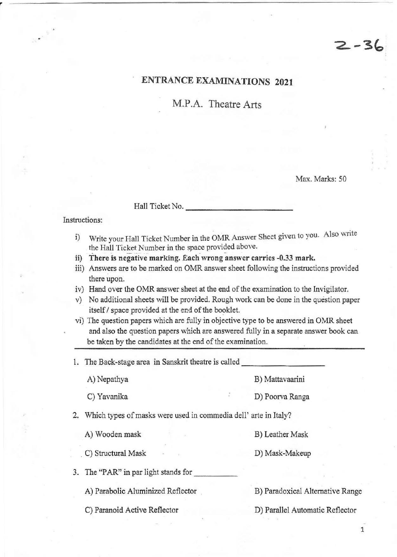## ENTRANCE EXAMINATIONS 2021

M.P.A. Theatre Arts

Max. Marks: 50

 $2 - 36$ 

Hall Ticket No.

### Instructions:

,

- i) Write your Hall Ticket Number in the OMR Answer Sheet given to you. Also write the Hall Ticket Number in the space provided above.<br>ii) There is negative marking. Each wrong answer carries -0.33 mark.
- 
- iii) Answers are to be marked on OMR answer sheet following the instructions provided there upon.
- iv) Hand over the OMR answer sheet at the end of the examination to the Invigilator.
- v) No additional sheets will be provided. Rough work can be done in the question paper itself / space provided at the end of the booklet.
- vi) The question papers which are fully in objective type to be answered in OMR sheet and also the question papers which are answered fully in a separate answer book can be taken by the candidates at the end of the examination.

1. The Back-stage area in Sanskrit theatre is called A) Nepathya B) Mattavaarini C) Yavanika D) Poorva Ranga 2. Which types of masks were used in commedia dell' arte in Italy? A) Wooden mask B) Leather Mask . C) Structural Mask D) Mask-Makeup 3. The "PAR" in par light stands for A) Parabolic Aluminized Reflector [18] B) Paradoxical Alternative Range

C) Paranoid Active Reflector D) Parallel Automatic Reflector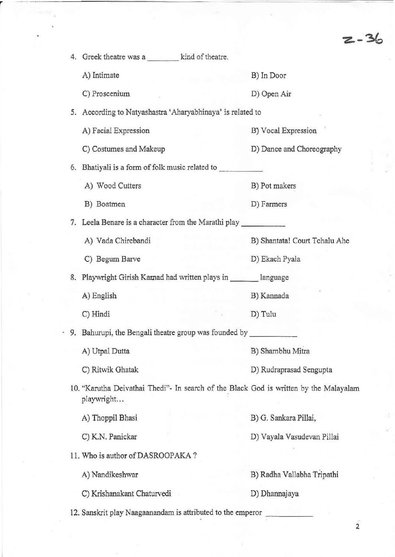$2 - 36$ 

| 4. | Greek theatre was a kind of theatre.                                                                |                               |  |
|----|-----------------------------------------------------------------------------------------------------|-------------------------------|--|
|    | A) Intimate                                                                                         | B) In Door                    |  |
|    | C) Proscenium                                                                                       | D) Open Air                   |  |
| 5. | According to Natyashastra 'Aharyabhinaya' is related to                                             |                               |  |
|    | A) Facial Expression                                                                                | B) Vocal Expression           |  |
|    | C) Costumes and Makeup                                                                              | D) Dance and Choreography     |  |
| 6. | Bhatiyali is a form of folk music related to                                                        |                               |  |
|    | A) Wood Cutters                                                                                     | B) Pot makers                 |  |
|    | B) Boatmen                                                                                          | D) Farmers                    |  |
| 7. | Leela Benare is a character from the Marathi play                                                   |                               |  |
|    | A) Vada Chirebandi                                                                                  | B) Shantata! Court Tchalu Ahe |  |
|    | C) Begum Barve                                                                                      | D) Ekach Pyala                |  |
| 8. | Playwright Girish Karnad had written plays in _______ language                                      |                               |  |
|    | A) English                                                                                          | B) Kannada                    |  |
|    | C) Hindi                                                                                            | D) Tulu                       |  |
|    | . 9. Bahurupi, the Bengali theatre group was founded by                                             |                               |  |
|    | A) Utpal Dutta                                                                                      | B) Shambhu Mitra              |  |
|    | C) Ritwik Ghatak                                                                                    | D) Rudraprasad Sengupta       |  |
|    | 10. "Karutha Deivathai Thedi"- In search of the Black God is written by the Malayalam<br>playwright |                               |  |
|    | A) Thoppil Bhasi                                                                                    | B) G. Sankara Pillai,         |  |
|    | C) K.N. Panickar                                                                                    | D) Vayala Vasudevan Pillai    |  |
|    | 11. Who is author of DASROOPAKA?                                                                    |                               |  |
|    | A) Nandikeshwar                                                                                     | B) Radha Vallabha Tripathi    |  |
|    | C) Krishanakant Chaturvedi                                                                          | D) Dhannajaya                 |  |
|    | 12. Sanskrit play Naagaanandam is attributed to the emperor                                         |                               |  |

<sup>r</sup>\_ .. \_.\_- - ----- - - - - - - - - -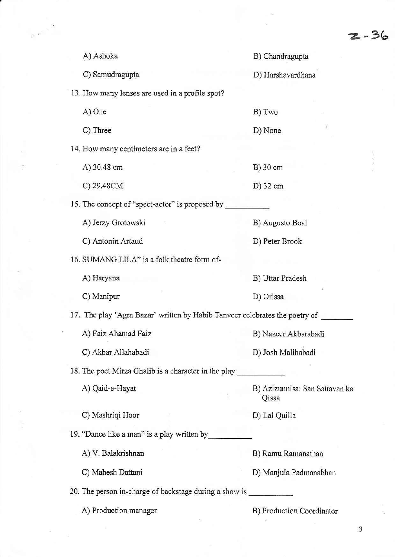$\frac{1}{2} \frac{1}{2} \frac{1}{2} \frac{1}{2} \frac{1}{2} \frac{1}{2} \frac{1}{2} \frac{1}{2} \frac{1}{2} \frac{1}{2} \frac{1}{2} \frac{1}{2} \frac{1}{2} \frac{1}{2} \frac{1}{2} \frac{1}{2} \frac{1}{2} \frac{1}{2} \frac{1}{2} \frac{1}{2} \frac{1}{2} \frac{1}{2} \frac{1}{2} \frac{1}{2} \frac{1}{2} \frac{1}{2} \frac{1}{2} \frac{1}{2} \frac{1}{2} \frac{1}{2} \frac{1}{2} \frac{$ 

| A) Ashoka                                                                   | B) Chandragupta                         |  |  |  |
|-----------------------------------------------------------------------------|-----------------------------------------|--|--|--|
| C) Samudragupta                                                             | D) Harshavardhana                       |  |  |  |
| 13. How many lenses are used in a profile spot?                             |                                         |  |  |  |
| A) One                                                                      | B) Two                                  |  |  |  |
| C) Three                                                                    | D) None                                 |  |  |  |
| 14. How many centimeters are in a feet?                                     |                                         |  |  |  |
| A) 30.48 cm                                                                 | B) 30 cm                                |  |  |  |
| C) 29.48CM                                                                  | D) 32 cm                                |  |  |  |
| 15. The concept of "spect-actor" is proposed by                             |                                         |  |  |  |
| A) Jerzy Grotowski                                                          | B) Augusto Boal                         |  |  |  |
| C) Antonin Artaud                                                           | D) Peter Brook                          |  |  |  |
| 16. SUMANG LILA" is a folk theatre form of-                                 |                                         |  |  |  |
| A) Haryana                                                                  | B) Uttar Pradesh                        |  |  |  |
| C) Manipur                                                                  | D) Orissa                               |  |  |  |
| 17. The play 'Agra Bazar' written by Habib Tanveer celebrates the poetry of |                                         |  |  |  |
| A) Faiz Ahamad Faiz                                                         | B) Nazeer Akbarabadi                    |  |  |  |
| C) Akbar Allahabadi                                                         | D) Josh Malihabadi                      |  |  |  |
| 18. The poet Mirza Ghalib is a character in the play                        |                                         |  |  |  |
| A) Qaid-e-Hayat                                                             | B) Azizunnisa: San Sattavan ka<br>Qissa |  |  |  |
| C) Mashriqi Hoor                                                            | D) Lal Quilla                           |  |  |  |
| 19. "Dance like a man" is a play written by                                 |                                         |  |  |  |
| A) V. Balakrishnan                                                          | B) Ramu Ramanathan                      |  |  |  |
| C) Mahesh Dattani                                                           | D) Manjula Padmanabhan                  |  |  |  |
| 20. The person in-charge of backstage during a show is                      |                                         |  |  |  |
| A) Production manager                                                       | B) Production Coordinator               |  |  |  |
|                                                                             |                                         |  |  |  |
|                                                                             |                                         |  |  |  |

r

 $\label{eq:1} \begin{array}{c} \mathbb{E} \left[ \begin{array}{cc} \mathbb{E} \left[ \mathbb{E} \right] & \mathbb{E} \left[ \mathbb{E} \right] \\ \mathbb{E} \left[ \mathbb{E} \left[ \mathbb{E} \right] & \mathbb{E} \left[ \mathbb{E} \right] \end{array} \right] \end{array} \right] \end{array}$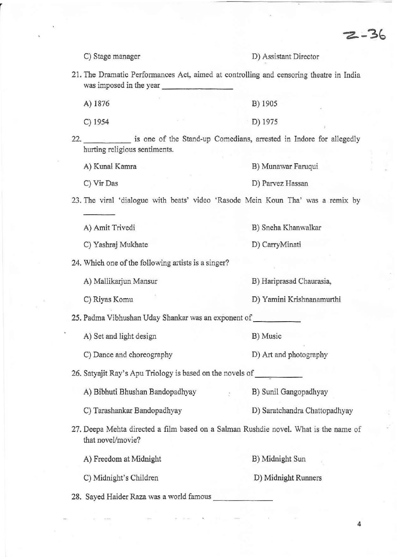C) Stage manager **D) Assistant Director** 

 $2 - 36$ 

**21. The Dramatic Performances Act, aimed at controlling and censoring theatre in India was imposed in the year** \_\_\_\_ \_\_\_ \_

| A) 1876 |         | B) 1905   |
|---------|---------|-----------|
| C) 1954 | William | $D)$ 1975 |

22. \_\_\_\_\_ is one of the Stand-up Comedians, arrested in Indore for allegedly **hurting religious sentiments.** 

- A) Kunal Kamra **B) Munawar Faruqui**
- C) Vir Das **D) Parvez Hassan**

**23. The viral 'dialogue with beats' video 'Rasode Mein Koun Tha' was a remix by** 

A) Amit Trivedi B) Sneha Khanwalkar

C) Yashraj Mukhate D) CarryMinati

**24. Which one** of the **following artists is a singer?** 

A) Mallikarjun Mansur **B) Hariprasad Chaurasia,** 

C) Riyas Komu **D) Yamini Krishnanamurthi** 

25. Padma Vibhushan Uday Shankar was an exponent of \_\_\_\_ \_

A) Set and light design B) Music

C) Dance and choreography D) Art and photography

26. Satyajit Ray's Apu Triology is based on the novels of

A) Bibhuti Bhushan Bandopadhyay B) Sunil Gangopadhyay

C) Tarashankar Bandopadhyay D) Saratchandra Chattopadhyay

27. Deepa Mehta directed a film based on a Salman Rushdie novel. What is the name of that novel/movie?

A) Freedom at Midnight B) Midnight Sun

C) Midnight's Children D) Midnight Runners

28. Sayed Haider Raza was a world famous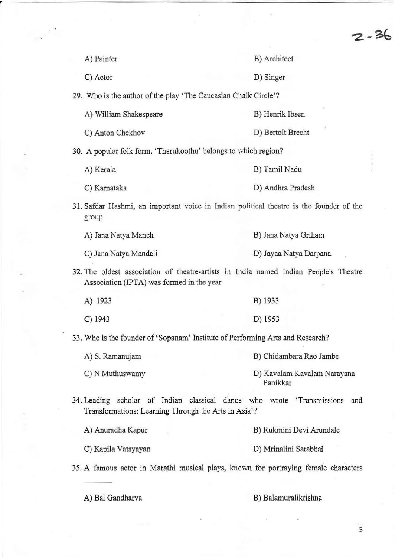|                                                                 | $2 - 36$                                                                                |
|-----------------------------------------------------------------|-----------------------------------------------------------------------------------------|
| A) Painter                                                      | B) Architect                                                                            |
| C) Actor                                                        | D) Singer                                                                               |
| 29. Who is the author of the play 'The Caucasian Chalk Circle'? |                                                                                         |
| A) William Shakespeare                                          | B) Henrik Ibsen                                                                         |
| C) Anton Chekhov                                                | D) Bertolt Brecht                                                                       |
| 30. A popular folk form, 'Therukoothu' belongs to which region? |                                                                                         |
| A) Kerala                                                       | B) Tamil Nadu                                                                           |
| C) Karnataka                                                    | D) Andhra Pradesh                                                                       |
| group                                                           | 31. Safdar Hashmi, an important voice in Indian political theatre is the founder of the |
| A) Jana Natya Manch                                             | B) Jana Natya Griham                                                                    |
| C) Jana Natya Mandali                                           | D) Jayaa Natya Darpana                                                                  |
| Association (IPTA) was formed in the year                       | 32. The oldest association of theatre-artists in India named Indian People's Theatre    |
| A) 1923                                                         | B) 1933                                                                                 |
| $C)$ 1943                                                       | D) 1953                                                                                 |
|                                                                 | 33. Who is the founder of 'Sopanam' Institute of Performing Arts and Research?          |
| A) S. Ramanujam                                                 | B) Chidambara Rao Jambe                                                                 |
| C) N Muthuswamy                                                 | D) Kavalam Kavalam Narayana<br>Panikkar                                                 |
| Transformations: Learning Through the Arts in Asia'?            | 34. Leading scholar of Indian classical dance who wrote 'Transmissions and              |
| A) Anuradha Kapur                                               | B) Rukmini Devi Arundale                                                                |
| C) Kapila Vatsyayan                                             | D) Mrinalini Sarabhai                                                                   |
|                                                                 | 35. A famous actor in Marathi musical plays, known for portraying female characters     |
|                                                                 |                                                                                         |

r

 $\frac{1}{2\sqrt{2}}$  ,  $\frac{1}{2}$ 

A) Bal Gandharva B) Balamuralikrishna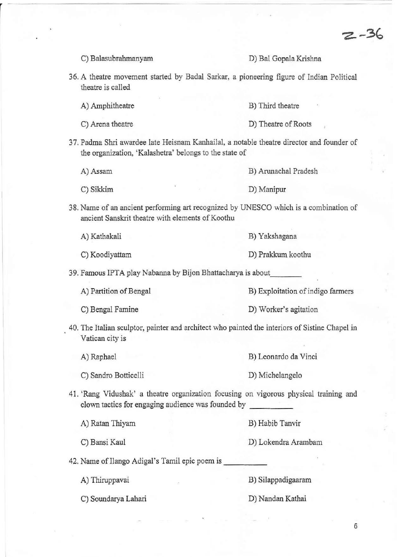$2 - 36$ 

|  |  | C) Balasubrahmanyam                                                                                                                                | D) Bal Gopala Krishna             |  |  |
|--|--|----------------------------------------------------------------------------------------------------------------------------------------------------|-----------------------------------|--|--|
|  |  | 36. A theatre movement started by Badal Sarkar, a pioneering figure of Indian Political<br>theatre is called                                       |                                   |  |  |
|  |  | A) Amphitheatre                                                                                                                                    | B) Third theatre                  |  |  |
|  |  | C) Arena theatre                                                                                                                                   | D) Theatre of Roots               |  |  |
|  |  | 37. Padma Shri awardee late Heisnam Kanhailal, a notable theatre director and founder of<br>the organization, 'Kalashetra' belongs to the state of |                                   |  |  |
|  |  | A) Assam                                                                                                                                           | B) Arunachal Pradesh              |  |  |
|  |  | C) Sikkim                                                                                                                                          | D) Manipur                        |  |  |
|  |  | 38. Name of an ancient performing art recognized by UNESCO which is a combination of<br>ancient Sanskrit theatre with elements of Koothu           |                                   |  |  |
|  |  | A) Kathakali                                                                                                                                       | B) Yakshagana                     |  |  |
|  |  | C) Koodiyattam                                                                                                                                     | D) Prakkum koothu                 |  |  |
|  |  | 39. Famous IPTA play Nabanna by Bijon Bhattacharya is about                                                                                        |                                   |  |  |
|  |  | A) Partition of Bengal                                                                                                                             | B) Exploitation of indigo farmers |  |  |
|  |  | C) Bengal Famine                                                                                                                                   | D) Worker's agitation             |  |  |
|  |  | 40. The Italian sculptor, painter and architect who painted the interiors of Sistine Chapel in<br>Vatican city is                                  |                                   |  |  |
|  |  | A) Raphael                                                                                                                                         | B) Leonardo da Vinci              |  |  |
|  |  | C) Sandro Botticelli                                                                                                                               | D) Michelangelo                   |  |  |
|  |  | 41. 'Rang Vidushak' a theatre organization focusing on vigorous physical training and                                                              |                                   |  |  |
|  |  | A) Ratan Thiyam                                                                                                                                    | B) Habib Tanvir                   |  |  |
|  |  | C) Bansi Kaul                                                                                                                                      | D) Lokendra Arambam               |  |  |
|  |  | 42. Name of Ilango Adigal's Tamil epic poem is                                                                                                     |                                   |  |  |
|  |  | A) Thiruppavai                                                                                                                                     | B) Silappadigaaram                |  |  |
|  |  | C) Soundarya Lahari                                                                                                                                | D) Nandan Kathai                  |  |  |
|  |  |                                                                                                                                                    |                                   |  |  |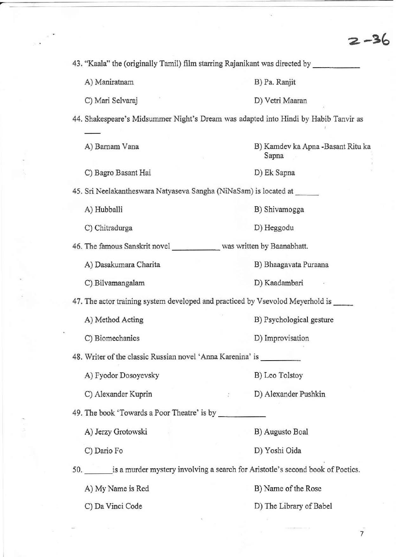$2 - 36$ 

 $\widehat{\mathbf{e}}_i$ 

| 43. "Kaala" the (originally Tamil) film starring Rajanikant was directed by |                                                                                     |  |  |  |
|-----------------------------------------------------------------------------|-------------------------------------------------------------------------------------|--|--|--|
| A) Maniratnam                                                               | B) Pa. Ranjit                                                                       |  |  |  |
| C) Mari Selvaraj                                                            | D) Vetri Maaran                                                                     |  |  |  |
|                                                                             | 44. Shakespeare's Midsummer Night's Dream was adapted into Hindi by Habib Tanvir as |  |  |  |
| A) Barnam Vana                                                              | B) Kamdev ka Apna -Basant Ritu ka<br>Sapna                                          |  |  |  |
| C) Bagro Basant Hai                                                         | D) Ek Sapna                                                                         |  |  |  |
| 45. Sri Neelakantheswara Natyaseva Sangha (NiNaSam) is located at           |                                                                                     |  |  |  |
| A) Hubballi                                                                 | B) Shivamogga                                                                       |  |  |  |
| C) Chitradurga                                                              | D) Heggodu                                                                          |  |  |  |
| 46. The famous Sanskrit novel _____________ was written by Baanabhatt.      |                                                                                     |  |  |  |
| A) Dasakumara Charita                                                       | B) Bhaagavata Puraana                                                               |  |  |  |
| C) Bilvamangalam                                                            | D) Kaadambari                                                                       |  |  |  |
|                                                                             | 47. The actor training system developed and practiced by Vsevolod Meyerhold is      |  |  |  |
| A) Method Acting                                                            | B) Psychological gesture                                                            |  |  |  |
| C) Biomechanics                                                             | D) Improvisation                                                                    |  |  |  |
| 48. Writer of the classic Russian novel 'Anna Karenina' is                  |                                                                                     |  |  |  |
| A) Fyodor Dosoyevsky                                                        | B) Leo Tolstoy                                                                      |  |  |  |
| C) Alexander Kuprin                                                         | D) Alexander Pushkin                                                                |  |  |  |
|                                                                             |                                                                                     |  |  |  |
| A) Jerzy Grotowski                                                          | B) Augusto Boal                                                                     |  |  |  |
| C) Dario Fo                                                                 | D) Yoshi Oida                                                                       |  |  |  |
|                                                                             | 50. is a murder mystery involving a search for Aristotle's second book of Poetics.  |  |  |  |
| A) My Name is Red                                                           | B) Name of the Rose                                                                 |  |  |  |
| C) Da Vinci Code                                                            | D) The Library of Babel                                                             |  |  |  |

 $\widetilde{\mathfrak{g}}$  :

 $\sim$ 

 $\frac{1}{\sqrt{2}}\left( \frac{1}{\sqrt{2}}\right) \left( \frac{1}{\sqrt{2}}\right) \left( \frac{1}{\sqrt{2}}\right) \left( \frac{1}{\sqrt{2}}\right) \left( \frac{1}{\sqrt{2}}\right) \left( \frac{1}{\sqrt{2}}\right) \left( \frac{1}{\sqrt{2}}\right) \left( \frac{1}{\sqrt{2}}\right) \left( \frac{1}{\sqrt{2}}\right) \left( \frac{1}{\sqrt{2}}\right) \left( \frac{1}{\sqrt{2}}\right) \left( \frac{1}{\sqrt{2}}\right) \left( \frac{1}{\sqrt{2}}\right) \left$ 

 $\sim$